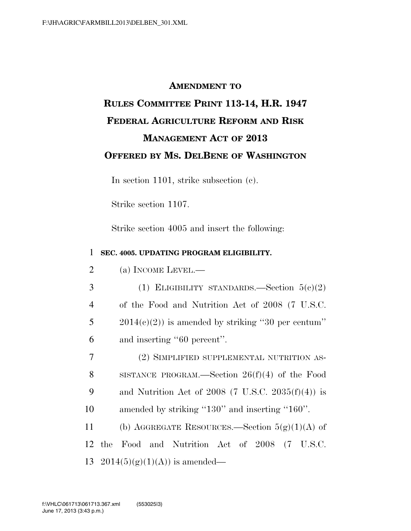## **AMENDMENT TO**

## **RULES COMMITTEE PRINT 113-14, H.R. 1947 FEDERAL AGRICULTURE REFORM AND RISK MANAGEMENT ACT OF 2013 OFFERED BY MS. DELBENE OF WASHINGTON**

In section 1101, strike subsection (c).

Strike section 1107.

Strike section 4005 and insert the following:

## 1 **SEC. 4005. UPDATING PROGRAM ELIGIBILITY.**

| $\overline{2}$ |  |  | (a) INCOME LEVEL.— |
|----------------|--|--|--------------------|
|----------------|--|--|--------------------|

3 (1) ELIGIBILITY STANDARDS.—Section  $5(c)(2)$ 4 of the Food and Nutrition Act of 2008 (7 U.S.C. 5 2014(c)(2)) is amended by striking "30 per centum" 6 and inserting ''60 percent''.

 (2) SIMPLIFIED SUPPLEMENTAL NUTRITION AS- SISTANCE PROGRAM.—Section 26(f)(4) of the Food 9 and Nutrition Act of 2008 (7 U.S.C. 2035 $(f)(4)$ ) is amended by striking ''130'' and inserting ''160''.

11 (b) AGGREGATE RESOURCES.—Section  $5(g)(1)(A)$  of 12 the Food and Nutrition Act of 2008 (7 U.S.C. 13 2014(5)(g)(1)(A)) is amended—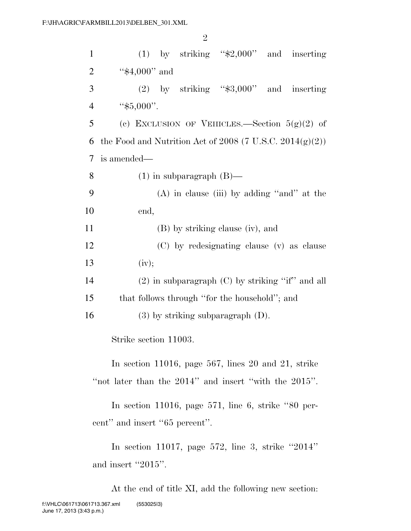| $\mathbf{1}$   | $(1)$ by striking "\$2,000" and inserting                                                                          |
|----------------|--------------------------------------------------------------------------------------------------------------------|
| $\overline{2}$ | " $$4,000"$ and                                                                                                    |
| 3              | (2) by striking " $\$3,000"$ and inserting                                                                         |
| $\overline{4}$ | " $$5,000$ ".                                                                                                      |
| 5              | (c) EXCLUSION OF VEHICLES.—Section $5(g)(2)$ of                                                                    |
| 6              | the Food and Nutrition Act of 2008 (7 U.S.C. 2014 $(g)(2)$ )                                                       |
| 7              | is amended—                                                                                                        |
| 8              | $(1)$ in subparagraph $(B)$ —                                                                                      |
| 9              | $(A)$ in clause (iii) by adding "and" at the                                                                       |
| 10             | end,                                                                                                               |
| 11             | (B) by striking clause (iv), and                                                                                   |
| 12             | (C) by redesignating clause (v) as clause                                                                          |
| 13             | (iv);                                                                                                              |
| 14             | $(2)$ in subparagraph $(C)$ by striking "if" and all                                                               |
| 15             | that follows through "for the household"; and                                                                      |
| 16             | $(3)$ by striking subparagraph $(D)$ .                                                                             |
|                | Strike section 11003.                                                                                              |
|                | In section 11016, page 567, lines 20 and 21, strike<br>"not later than the $2014$ " and insert "with the $2015$ ". |
|                | In section 11016, page 571, line 6, strike "80 per-                                                                |

cent" and insert "65 percent".

In section 11017, page 572, line 3, strike ''2014'' and insert "2015".

At the end of title XI, add the following new section: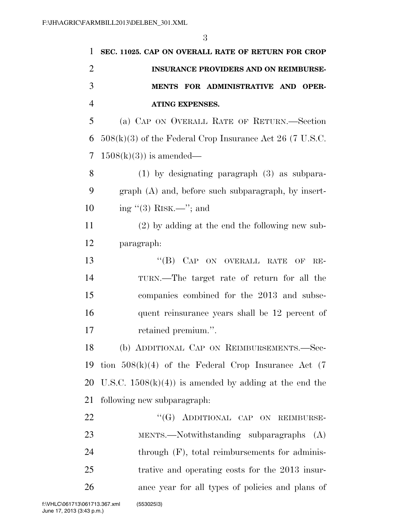| $\mathbf{1}$   | SEC. 11025. CAP ON OVERALL RATE OF RETURN FOR CROP         |
|----------------|------------------------------------------------------------|
| $\overline{2}$ | INSURANCE PROVIDERS AND ON REIMBURSE-                      |
| 3              | MENTS FOR ADMINISTRATIVE AND OPER-                         |
| $\overline{4}$ | <b>ATING EXPENSES.</b>                                     |
| 5              | (a) CAP ON OVERALL RATE OF RETURN.—Section                 |
| 6              | $508(k)(3)$ of the Federal Crop Insurance Act 26 (7 U.S.C. |
| 7              | $1508(k)(3)$ is amended—                                   |
| 8              | $(1)$ by designating paragraph $(3)$ as subpara-           |
| 9              | $graph(A)$ and, before such subparagraph, by insert-       |
| 10             | ing $\cdot$ (3) RISK.—"; and                               |
| 11             | $(2)$ by adding at the end the following new sub-          |
| 12             | paragraph:                                                 |
| 13             | "(B) CAP ON OVERALL RATE OF<br>$RE-$                       |
| 14             | TURN.—The target rate of return for all the                |
| 15             | companies combined for the 2013 and subse-                 |
| 16             | quent reinsurance years shall be 12 percent of             |
| 17             | retained premium.".                                        |
| 18             | (b) ADDITIONAL CAP ON REIMBURSEMENTS.—Sec-                 |
| 19             | tion $508(k)(4)$ of the Federal Crop Insurance Act (7)     |
| 20             | U.S.C. $1508(k)(4)$ is amended by adding at the end the    |
| 21             | following new subparagraph:                                |
| 22             | "(G) ADDITIONAL CAP ON REIMBURSE-                          |
| 23             | MENTS.—Notwithstanding subparagraphs $(A)$                 |
| 24             | through $(F)$ , total reimbursements for adminis-          |
| 25             | trative and operating costs for the 2013 insur-            |
| 26             | ance year for all types of policies and plans of           |